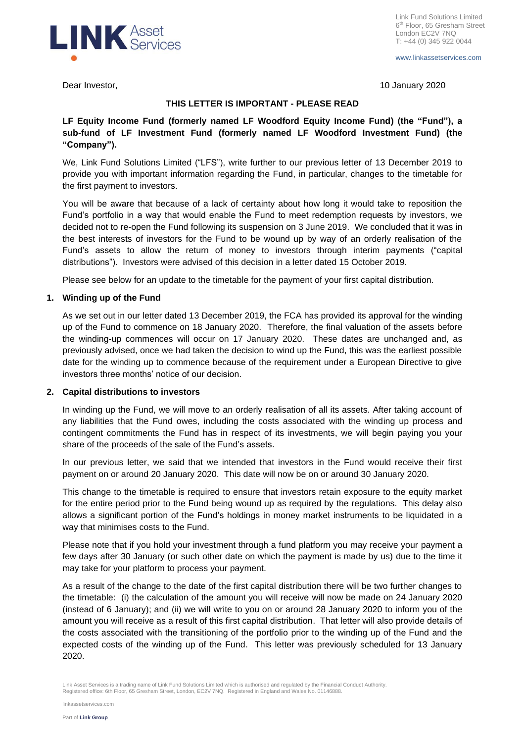

www.linkassetservices.com

Dear Investor, 10 January 2020

# **THIS LETTER IS IMPORTANT - PLEASE READ**

**LF Equity Income Fund (formerly named LF Woodford Equity Income Fund) (the "Fund"), a sub-fund of LF Investment Fund (formerly named LF Woodford Investment Fund) (the "Company").**

We, Link Fund Solutions Limited ("LFS"), write further to our previous letter of 13 December 2019 to provide you with important information regarding the Fund, in particular, changes to the timetable for the first payment to investors.

You will be aware that because of a lack of certainty about how long it would take to reposition the Fund's portfolio in a way that would enable the Fund to meet redemption requests by investors, we decided not to re-open the Fund following its suspension on 3 June 2019. We concluded that it was in the best interests of investors for the Fund to be wound up by way of an orderly realisation of the Fund's assets to allow the return of money to investors through interim payments ("capital distributions"). Investors were advised of this decision in a letter dated 15 October 2019.

Please see below for an update to the timetable for the payment of your first capital distribution.

# **1. Winding up of the Fund**

As we set out in our letter dated 13 December 2019, the FCA has provided its approval for the winding up of the Fund to commence on 18 January 2020. Therefore, the final valuation of the assets before the winding-up commences will occur on 17 January 2020. These dates are unchanged and, as previously advised, once we had taken the decision to wind up the Fund, this was the earliest possible date for the winding up to commence because of the requirement under a European Directive to give investors three months' notice of our decision.

## **2. Capital distributions to investors**

In winding up the Fund, we will move to an orderly realisation of all its assets. After taking account of any liabilities that the Fund owes, including the costs associated with the winding up process and contingent commitments the Fund has in respect of its investments, we will begin paying you your share of the proceeds of the sale of the Fund's assets.

In our previous letter, we said that we intended that investors in the Fund would receive their first payment on or around 20 January 2020. This date will now be on or around 30 January 2020.

This change to the timetable is required to ensure that investors retain exposure to the equity market for the entire period prior to the Fund being wound up as required by the regulations. This delay also allows a significant portion of the Fund's holdings in money market instruments to be liquidated in a way that minimises costs to the Fund.

Please note that if you hold your investment through a fund platform you may receive your payment a few days after 30 January (or such other date on which the payment is made by us) due to the time it may take for your platform to process your payment.

As a result of the change to the date of the first capital distribution there will be two further changes to the timetable: (i) the calculation of the amount you will receive will now be made on 24 January 2020 (instead of 6 January); and (ii) we will write to you on or around 28 January 2020 to inform you of the amount you will receive as a result of this first capital distribution. That letter will also provide details of the costs associated with the transitioning of the portfolio prior to the winding up of the Fund and the expected costs of the winding up of the Fund. This letter was previously scheduled for 13 January 2020.

Link Asset Services is a trading name of Link Fund Solutions Limited which is authorised and regulated by the Financial Conduct Authority.<br>Registered office: 6th Floor, 65 Gresham Street, London, EC2V 7NQ. Registered in En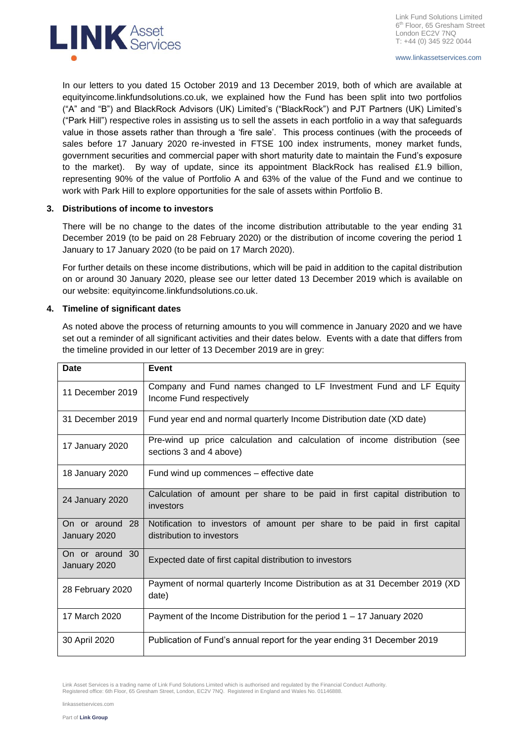

In our letters to you dated 15 October 2019 and 13 December 2019, both of which are available at equityincome.linkfundsolutions.co.uk, we explained how the Fund has been split into two portfolios ("A" and "B") and BlackRock Advisors (UK) Limited's ("BlackRock") and PJT Partners (UK) Limited's ("Park Hill") respective roles in assisting us to sell the assets in each portfolio in a way that safeguards value in those assets rather than through a 'fire sale'. This process continues (with the proceeds of sales before 17 January 2020 re-invested in FTSE 100 index instruments, money market funds, government securities and commercial paper with short maturity date to maintain the Fund's exposure to the market). By way of update, since its appointment BlackRock has realised £1.9 billion, representing 90% of the value of Portfolio A and 63% of the value of the Fund and we continue to work with Park Hill to explore opportunities for the sale of assets within Portfolio B.

## **3. Distributions of income to investors**

There will be no change to the dates of the income distribution attributable to the year ending 31 December 2019 (to be paid on 28 February 2020) or the distribution of income covering the period 1 January to 17 January 2020 (to be paid on 17 March 2020).

For further details on these income distributions, which will be paid in addition to the capital distribution on or around 30 January 2020, please see our letter dated 13 December 2019 which is available on our website: equityincome.linkfundsolutions.co.uk.

#### **4. Timeline of significant dates**

As noted above the process of returning amounts to you will commence in January 2020 and we have set out a reminder of all significant activities and their dates below. Events with a date that differs from the timeline provided in our letter of 13 December 2019 are in grey:

| <b>Date</b>                        | Event                                                                                                  |  |
|------------------------------------|--------------------------------------------------------------------------------------------------------|--|
| 11 December 2019                   | Company and Fund names changed to LF Investment Fund and LF Equity<br>Income Fund respectively         |  |
| 31 December 2019                   | Fund year end and normal quarterly Income Distribution date (XD date)                                  |  |
| 17 January 2020                    | Pre-wind up price calculation and calculation of income distribution (see<br>sections 3 and 4 above)   |  |
| 18 January 2020                    | Fund wind up commences – effective date                                                                |  |
| 24 January 2020                    | Calculation of amount per share to be paid in first capital distribution to<br>investors               |  |
| On or around 28<br>January 2020    | Notification to investors of amount per share to be paid in first capital<br>distribution to investors |  |
| 30<br>On or around<br>January 2020 | Expected date of first capital distribution to investors                                               |  |
| 28 February 2020                   | Payment of normal quarterly Income Distribution as at 31 December 2019 (XD<br>date)                    |  |
| 17 March 2020                      | Payment of the Income Distribution for the period $1 - 17$ January 2020                                |  |
| 30 April 2020                      | Publication of Fund's annual report for the year ending 31 December 2019                               |  |

Link Asset Services is a trading name of Link Fund Solutions Limited which is authorised and regulated by the Financial Conduct Authority.<br>Registered office: 6th Floor, 65 Gresham Street, London, EC2V 7NQ. Registered in En

linkassetservices.com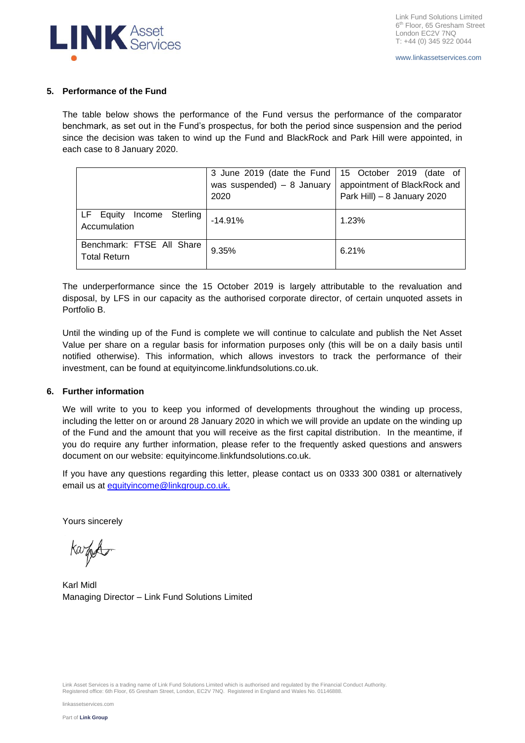

### **5. Performance of the Fund**

The table below shows the performance of the Fund versus the performance of the comparator benchmark, as set out in the Fund's prospectus, for both the period since suspension and the period since the decision was taken to wind up the Fund and BlackRock and Park Hill were appointed, in each case to 8 January 2020.

|                                                  | was suspended) $- 8$ January<br>2020 | 3 June 2019 (date the Fund   15 October 2019 (date of<br>appointment of BlackRock and<br>Park Hill) - 8 January 2020 |
|--------------------------------------------------|--------------------------------------|----------------------------------------------------------------------------------------------------------------------|
| Income Sterling<br>LF Equity<br>Accumulation     | $-14.91%$                            | 1.23%                                                                                                                |
| Benchmark: FTSE All Share<br><b>Total Return</b> | 9.35%                                | 6.21%                                                                                                                |

The underperformance since the 15 October 2019 is largely attributable to the revaluation and disposal, by LFS in our capacity as the authorised corporate director, of certain unquoted assets in Portfolio B.

Until the winding up of the Fund is complete we will continue to calculate and publish the Net Asset Value per share on a regular basis for information purposes only (this will be on a daily basis until notified otherwise). This information, which allows investors to track the performance of their investment, can be found at equityincome.linkfundsolutions.co.uk.

## **6. Further information**

We will write to you to keep you informed of developments throughout the winding up process, including the letter on or around 28 January 2020 in which we will provide an update on the winding up of the Fund and the amount that you will receive as the first capital distribution. In the meantime, if you do require any further information, please refer to the frequently asked questions and answers document on our website: equityincome.linkfundsolutions.co.uk.

If you have any questions regarding this letter, please contact us on 0333 300 0381 or alternatively email us at [equityincome@linkgroup.co.uk.](mailto:info@woodfordfunds.com)

Yours sincerely

karfe

Karl Midl Managing Director – Link Fund Solutions Limited

Link Asset Services is a trading name of Link Fund Solutions Limited which is authorised and regulated by the Financial Conduct Authority.<br>Registered office: 6th Floor, 65 Gresham Street, London, EC2V 7NQ. Registered in En

linkassetservices.com